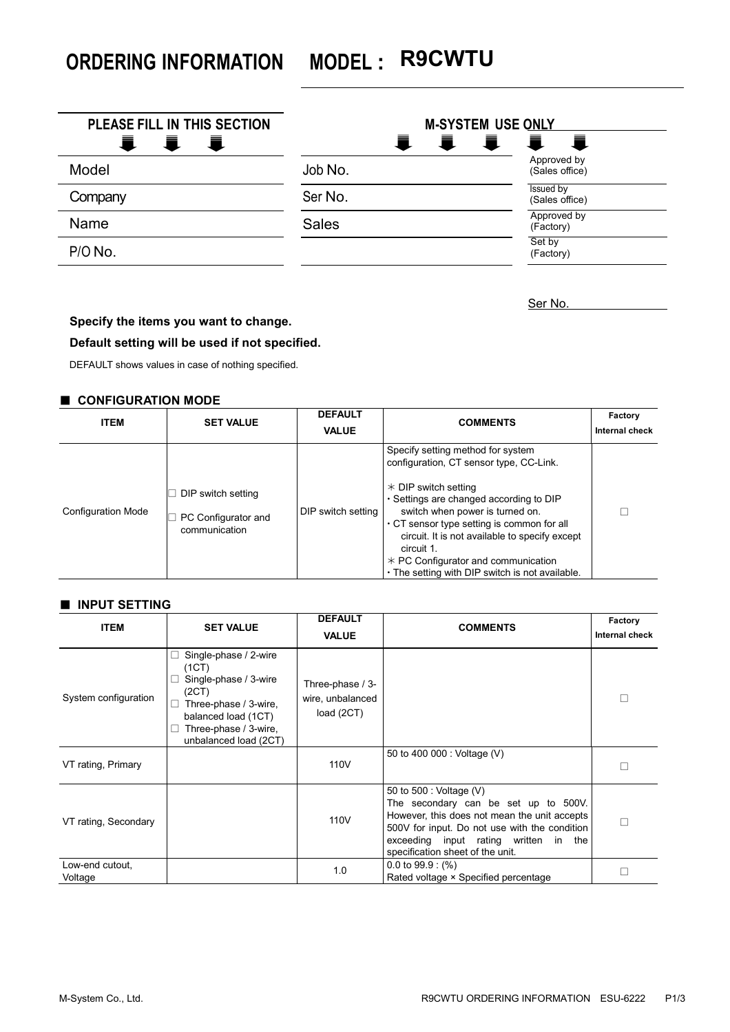**ORDERING INFORMATION MODEL : R9CWTU**

| PLEASE FILL IN THIS SECTION<br>置<br>≡<br>$\blacksquare$ | <b>M-SYSTEM USE ONLY</b><br>电<br>Ē. | 量<br>真                        |
|---------------------------------------------------------|-------------------------------------|-------------------------------|
| Model                                                   | Job No.                             | Approved by<br>(Sales office) |
| Company                                                 | Ser No.                             | Issued by<br>(Sales office)   |
| Name                                                    | <b>Sales</b>                        | Approved by<br>(Factory)      |
| P/O No.                                                 |                                     | Set by<br>(Factory)           |

Ser No.

# **Specify the items you want to change.**

# **Default setting will be used if not specified.**

DEFAULT shows values in case of nothing specified.

#### ■ **CONFIGURATION MODE**

| <b>ITEM</b>               | <b>SET VALUE</b>                                           | <b>DEFAULT</b><br><b>VALUE</b> | <b>COMMENTS</b>                                                                                                                                                                                                                                                                                                                                                                                            | Factory<br>Internal check |
|---------------------------|------------------------------------------------------------|--------------------------------|------------------------------------------------------------------------------------------------------------------------------------------------------------------------------------------------------------------------------------------------------------------------------------------------------------------------------------------------------------------------------------------------------------|---------------------------|
| <b>Configuration Mode</b> | DIP switch setting<br>PC Configurator and<br>communication | DIP switch setting             | Specify setting method for system<br>configuration, CT sensor type, CC-Link.<br>$*$ DIP switch setting<br>$\cdot$ Settings are changed according to DIP<br>switch when power is turned on.<br>$\cdot$ CT sensor type setting is common for all<br>circuit. It is not available to specify except<br>circuit 1.<br>$*$ PC Configurator and communication<br>. The setting with DIP switch is not available. |                           |

#### ■ **INPUT SETTING**

| <b>ITEM</b>                | <b>SET VALUE</b>                                                                                                                                                                                    | <b>DEFAULT</b><br><b>VALUE</b>                     | <b>COMMENTS</b>                                                                                                                                                                                                                               | Factory<br>Internal check |
|----------------------------|-----------------------------------------------------------------------------------------------------------------------------------------------------------------------------------------------------|----------------------------------------------------|-----------------------------------------------------------------------------------------------------------------------------------------------------------------------------------------------------------------------------------------------|---------------------------|
| System configuration       | Single-phase / 2-wire<br>$\overline{\phantom{a}}$<br>(1CT)<br>Single-phase / 3-wire<br>(2CT)<br>Three-phase / 3-wire,<br>□<br>balanced load (1CT)<br>Three-phase / 3-wire,<br>unbalanced load (2CT) | Three-phase / 3-<br>wire, unbalanced<br>load (2CT) |                                                                                                                                                                                                                                               | П                         |
| VT rating, Primary         |                                                                                                                                                                                                     | 110V                                               | 50 to 400 000 : Voltage (V)                                                                                                                                                                                                                   |                           |
| VT rating, Secondary       |                                                                                                                                                                                                     | 110V                                               | 50 to 500 : Voltage (V)<br>The secondary can be set up to 500V.<br>However, this does not mean the unit accepts<br>500V for input. Do not use with the condition<br>exceeding input rating written in the<br>specification sheet of the unit. | П                         |
| Low-end cutout,<br>Voltage |                                                                                                                                                                                                     | 1.0                                                | $0.0$ to 99.9 : $(\% )$<br>Rated voltage × Specified percentage                                                                                                                                                                               |                           |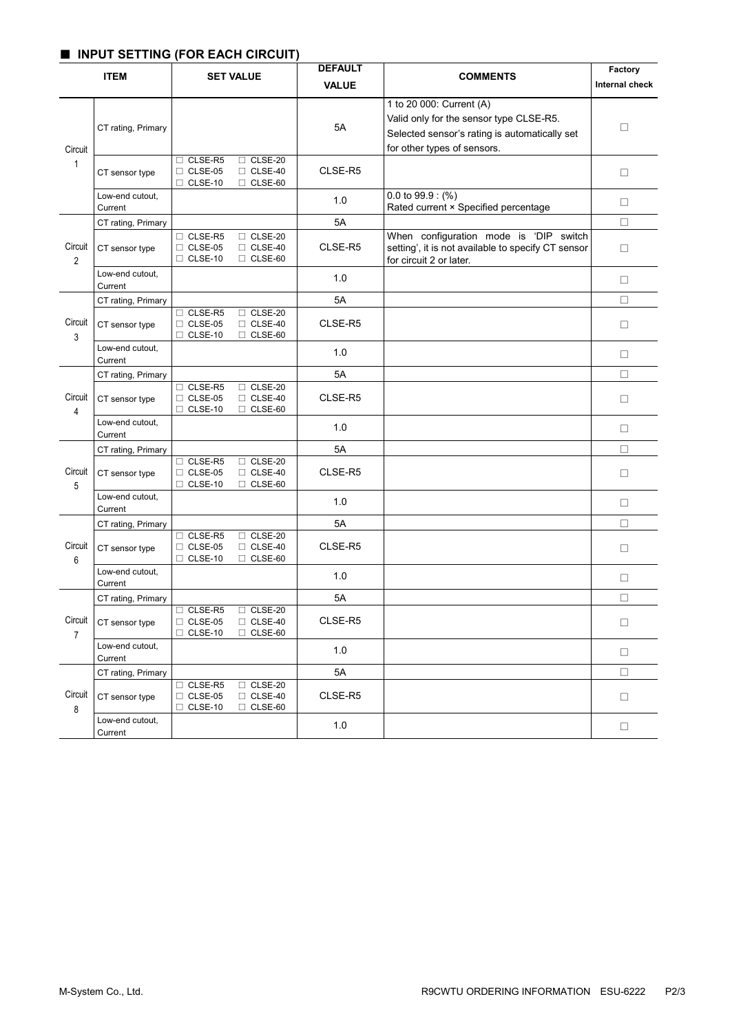# ■ **INPUT SETTING (FOR EACH CIRCUIT)**

|                           | <b>ITEM</b>                | <b>SET VALUE</b>                                                                                         | <b>DEFAULT</b><br><b>VALUE</b> | <b>COMMENTS</b>                                                                                                                                     | Factory<br><b>Internal check</b> |
|---------------------------|----------------------------|----------------------------------------------------------------------------------------------------------|--------------------------------|-----------------------------------------------------------------------------------------------------------------------------------------------------|----------------------------------|
| Circuit<br>$\mathbf{1}$   | CT rating, Primary         |                                                                                                          | 5A                             | 1 to 20 000: Current (A)<br>Valid only for the sensor type CLSE-R5.<br>Selected sensor's rating is automatically set<br>for other types of sensors. | $\Box$                           |
|                           | CT sensor type             | $\Box$ CLSE-R5<br>$\Box$ CLSE-20<br>$\Box$ CLSE-05<br>$\Box$ CLSE-40<br>$\Box$ CLSE-10<br>$\Box$ CLSE-60 | CLSE-R5                        |                                                                                                                                                     | $\Box$                           |
|                           | Low-end cutout,<br>Current |                                                                                                          | 1.0                            | $0.0$ to 99.9 : $(\%)$<br>Rated current × Specified percentage                                                                                      | □                                |
|                           | CT rating, Primary         |                                                                                                          | 5A                             |                                                                                                                                                     | $\Box$                           |
| Circuit<br>$\overline{c}$ | CT sensor type             | □ CLSE-R5<br>$\Box$ CLSE-20<br>$\Box$ CLSE-05<br>$\Box$ CLSE-40<br>$\Box$ CLSE-10<br>$\Box$ CLSE-60      | CLSE-R5                        | When configuration mode is 'DIP switch<br>setting', it is not available to specify CT sensor<br>for circuit 2 or later.                             | $\Box$                           |
|                           | Low-end cutout,<br>Current |                                                                                                          | 1.0                            |                                                                                                                                                     | $\Box$                           |
|                           | CT rating, Primary         |                                                                                                          | 5A                             |                                                                                                                                                     | $\Box$                           |
| Circuit<br>3              | CT sensor type             | □ CLSE-R5<br>$\Box$ CLSE-20<br>$\Box$ CLSE-40<br>$\Box$ CLSE-05<br>$\Box$ CLSE-10<br>$\Box$ CLSE-60      | CLSE-R5                        |                                                                                                                                                     | $\Box$                           |
|                           | Low-end cutout,<br>Current |                                                                                                          | 1.0                            |                                                                                                                                                     | $\Box$                           |
|                           | CT rating, Primary         |                                                                                                          | 5A                             |                                                                                                                                                     | $\Box$                           |
| Circuit<br>4              | CT sensor type             | $\Box$ CLSE-R5<br>$\Box$ CLSE-20<br>$\Box$ CLSE-05<br>$\Box$ CLSE-40<br>$\Box$ CLSE-10<br>$\Box$ CLSE-60 | CLSE-R5                        |                                                                                                                                                     | $\Box$                           |
|                           | Low-end cutout,<br>Current |                                                                                                          | 1.0                            |                                                                                                                                                     | $\Box$                           |
|                           | CT rating, Primary         |                                                                                                          | 5A                             |                                                                                                                                                     | □                                |
| Circuit<br>5              | CT sensor type             | □ CLSE-R5<br>□ CLSE-20<br>$\Box$ CLSE-05<br>$\Box$ CLSE-40<br>$\Box$ CLSE-10<br>$\Box$ CLSE-60           | CLSE-R5                        |                                                                                                                                                     | $\Box$                           |
|                           | Low-end cutout,<br>Current |                                                                                                          | 1.0                            |                                                                                                                                                     | $\Box$                           |
|                           | CT rating, Primary         |                                                                                                          | 5A                             |                                                                                                                                                     | $\Box$                           |
| Circuit<br>6              | CT sensor type             | □ CLSE-R5<br>$\Box$ CLSE-20<br>$\Box$ CLSE-05<br>$\Box$ CLSE-40<br>$\Box$ CLSE-10<br>$\Box$ CLSE-60      | CLSE-R5                        |                                                                                                                                                     | □                                |
|                           | Low-end cutout,<br>Current |                                                                                                          | 1.0                            |                                                                                                                                                     | □                                |
|                           | CT rating, Primary         |                                                                                                          | 5A                             |                                                                                                                                                     | □                                |
| Circuit<br>$\overline{7}$ | CT sensor type             | $\Box$ CLSE-R5<br>$\Box$ CLSE-20<br>$\Box$ CLSE-05<br>$\Box$ CLSE-40<br>$\Box$ CLSE-10<br>$\Box$ CLSE-60 | CLSE-R5                        |                                                                                                                                                     | $\Box$                           |
|                           | Low-end cutout,<br>Current |                                                                                                          | 1.0                            |                                                                                                                                                     | $\Box$                           |
|                           | CT rating, Primary         |                                                                                                          | 5A                             |                                                                                                                                                     | $\Box$                           |
| Circuit<br>8              | CT sensor type             | $\Box$ CLSE-R5<br>$\Box$ CLSE-20<br>$\Box$ CLSE-05<br>$\Box$ CLSE-40<br>$\Box$ CLSE-10<br>$\Box$ CLSE-60 | CLSE-R5                        |                                                                                                                                                     | $\Box$                           |
|                           | Low-end cutout,<br>Current |                                                                                                          | 1.0                            |                                                                                                                                                     | $\Box$                           |